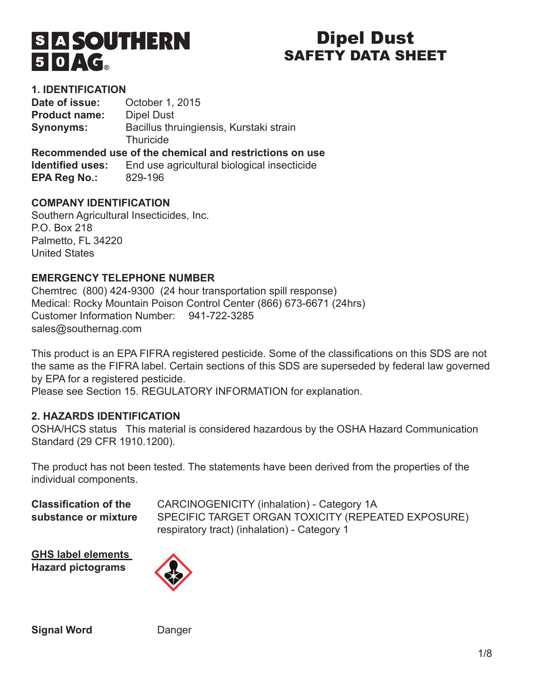# **SIASOUTHERN**  $50 \sqrt{c}$

# Dipel Dust SAFETY DATA SHEET

# **1. IDENTIFICATION**

**Date of issue:** October 1, 2015 **Product name:** Dipel Dust **Synonyms:** Bacillus thruingiensis, Kurstaki strain **Thuricide Recommended use of the chemical and restrictions on use**

**Identified uses:** End use agricultural biological insecticide **EPA Reg No.:** 829-196

# **COMPANY IDENTIFICATION**

Southern Agricultural Insecticides, Inc. P.O. Box 218 Palmetto, FL 34220 United States

# **EMERGENCY TELEPHONE NUMBER**

Chemtrec (800) 424-9300 (24 hour transportation spill response) Medical: Rocky Mountain Poison Control Center (866) 673-6671 (24hrs) Customer Information Number: 941-722-3285 sales@southernag.com

This product is an EPA FIFRA registered pesticide. Some of the classifications on this SDS are not the same as the FIFRA label. Certain sections of this SDS are superseded by federal law governed by EPA for a registered pesticide.

Please see Section 15. REGULATORY INFORMATION for explanation.

# **2. HAZARDS IDENTIFICATION**

OSHA/HCS status This material is considered hazardous by the OSHA Hazard Communication Standard (29 CFR 1910.1200).

The product has not been tested. The statements have been derived from the properties of the individual components.

**Classification of the** CARCINOGENICITY (inhalation) - Category 1A substance or mixture SPECIFIC TARGET ORGAN TOXICITY (REPEATED EXPOSURE) respiratory tract) (inhalation) - Category 1

**GHS label elements Hazard pictograms**



**Signal Word** Danger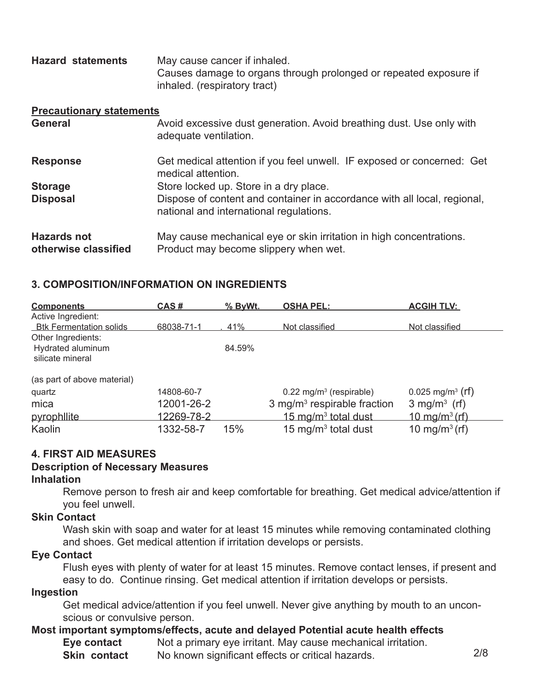| <b>Hazard statements</b> | May cause cancer if inhaled.                                      |
|--------------------------|-------------------------------------------------------------------|
|                          | Causes damage to organs through prolonged or repeated exposure if |
|                          | inhaled. (respiratory tract)                                      |

#### **Precautionary statements**

| <b>General</b>                             | Avoid excessive dust generation. Avoid breathing dust. Use only with<br>adequate ventilation.                       |
|--------------------------------------------|---------------------------------------------------------------------------------------------------------------------|
| <b>Response</b>                            | Get medical attention if you feel unwell. IF exposed or concerned: Get<br>medical attention.                        |
| <b>Storage</b>                             | Store locked up. Store in a dry place.                                                                              |
| <b>Disposal</b>                            | Dispose of content and container in accordance with all local, regional,<br>national and international regulations. |
| <b>Hazards not</b><br>otherwise classified | May cause mechanical eye or skin irritation in high concentrations.<br>Product may become slippery when wet.        |

#### **3. COMPOSITION/INFORMATION ON INGREDIENTS**

| <b>Components</b>                                           | CAS#       | % ByWt. | <b>OSHA PEL:</b>                        | <b>ACGIH TLV:</b>              |
|-------------------------------------------------------------|------------|---------|-----------------------------------------|--------------------------------|
| Active Ingredient:<br><b>Btk Fermentation solids</b>        | 68038-71-1 | 41%     | Not classified                          | Not classified                 |
| Other Ingredients:<br>Hydrated aluminum<br>silicate mineral |            | 84.59%  |                                         |                                |
| (as part of above material)                                 |            |         |                                         |                                |
| quartz                                                      | 14808-60-7 |         | $0.22$ mg/m <sup>3</sup> (respirable)   | $0.025$ mg/m <sup>3</sup> (rf) |
| mica                                                        | 12001-26-2 |         | 3 mg/m <sup>3</sup> respirable fraction | $3$ mg/m <sup>3</sup> (rf)     |
| pyrophilite                                                 | 12269-78-2 |         | 15 mg/m <sup>3</sup> total dust         | $10 \text{ mg/m}^3$ (rf)       |
| Kaolin                                                      | 1332-58-7  | 15%     | 15 mg/m $3$ total dust                  | 10 mg/m <sup>3</sup> (rf)      |

#### **4. FIRST AID MEASURES**

#### **Description of Necessary Measures**

#### **Inhalation**

Remove person to fresh air and keep comfortable for breathing. Get medical advice/attention if you feel unwell.

#### **Skin Contact**

Wash skin with soap and water for at least 15 minutes while removing contaminated clothing and shoes. Get medical attention if irritation develops or persists.

#### **Eye Contact**

Flush eyes with plenty of water for at least 15 minutes. Remove contact lenses, if present and easy to do. Continue rinsing. Get medical attention if irritation develops or persists.

#### **Ingestion**

Get medical advice/attention if you feel unwell. Never give anything by mouth to an unconscious or convulsive person.

# **Most important symptoms/effects, acute and delayed Potential acute health effects**

**Eye contact** Not a primary eye irritant. May cause mechanical irritation.

**Skin contact** No known significant effects or critical hazards. 2/8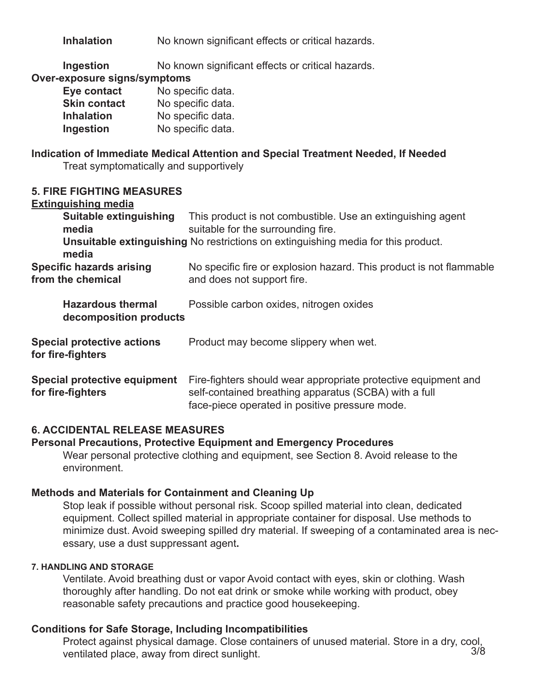**Inhalation** No known significant effects or critical hazards.

**Ingestion** No known significant effects or critical hazards.

#### **Over-exposure signs/symptoms**

| Eye contact         | No specific data. |
|---------------------|-------------------|
| <b>Skin contact</b> | No specific data. |
| <b>Inhalation</b>   | No specific data. |
| Ingestion           | No specific data. |

# **Indication of Immediate Medical Attention and Special Treatment Needed, If Needed**

Treat symptomatically and supportively

#### **5. FIRE FIGHTING MEASURES**

#### **Extinguishing media**

| Suitable extinguishing<br>media                          | This product is not combustible. Use an extinguishing agent<br>suitable for the surrounding fire.                                                                         |
|----------------------------------------------------------|---------------------------------------------------------------------------------------------------------------------------------------------------------------------------|
| media                                                    | <b>Unsuitable extinguishing No restrictions on extinguishing media for this product.</b>                                                                                  |
| <b>Specific hazards arising</b><br>from the chemical     | No specific fire or explosion hazard. This product is not flammable<br>and does not support fire.                                                                         |
| <b>Hazardous thermal</b><br>decomposition products       | Possible carbon oxides, nitrogen oxides                                                                                                                                   |
| <b>Special protective actions</b><br>for fire-fighters   | Product may become slippery when wet.                                                                                                                                     |
| <b>Special protective equipment</b><br>for fire-fighters | Fire-fighters should wear appropriate protective equipment and<br>self-contained breathing apparatus (SCBA) with a full<br>face-piece operated in positive pressure mode. |

# **6. ACCIDENTAL RELEASE MEASURES**

#### **Personal Precautions, Protective Equipment and Emergency Procedures**

Wear personal protective clothing and equipment, see Section 8. Avoid release to the environment.

# **Methods and Materials for Containment and Cleaning Up**

Stop leak if possible without personal risk. Scoop spilled material into clean, dedicated equipment. Collect spilled material in appropriate container for disposal. Use methods to minimize dust. Avoid sweeping spilled dry material. If sweeping of a contaminated area is necessary, use a dust suppressant agent**.**

#### **7. HANDLING AND STORAGE**

Ventilate. Avoid breathing dust or vapor Avoid contact with eyes, skin or clothing. Wash thoroughly after handling. Do not eat drink or smoke while working with product, obey reasonable safety precautions and practice good housekeeping.

#### **Conditions for Safe Storage, Including Incompatibilities**

Protect against physical damage. Close containers of unused material. Store in a dry, cool,<br>1/8<br>3/8 ventilated place, away from direct sunlight.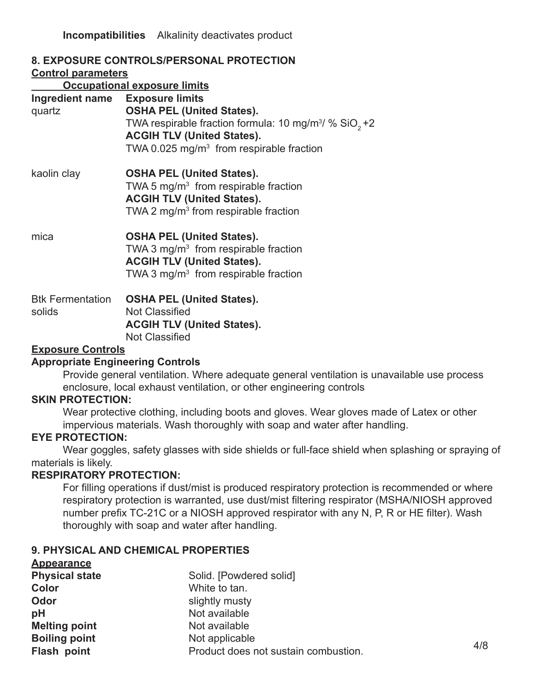**Incompatibilities** Alkalinity deactivates product

| <b>8. EXPOSURE CONTROLS/PERSONAL PROTECTION</b><br><b>Control parameters</b><br><b>Occupational exposure limits</b> |                                                                                                                                                                                                                                            |  |  |
|---------------------------------------------------------------------------------------------------------------------|--------------------------------------------------------------------------------------------------------------------------------------------------------------------------------------------------------------------------------------------|--|--|
| Ingredient name<br>quartz                                                                                           | <b>Exposure limits</b><br><b>OSHA PEL (United States).</b><br>TWA respirable fraction formula: 10 mg/m <sup>3</sup> / $%$ SiO <sub>2</sub> +2<br><b>ACGIH TLV (United States).</b><br>TWA 0.025 mg/m <sup>3</sup> from respirable fraction |  |  |
| kaolin clay                                                                                                         | <b>OSHA PEL (United States).</b><br>TWA 5 mg/m <sup>3</sup> from respirable fraction<br><b>ACGIH TLV (United States).</b><br>TWA 2 mg/m <sup>3</sup> from respirable fraction                                                              |  |  |
| mica                                                                                                                | <b>OSHA PEL (United States).</b><br>TWA 3 mg/m <sup>3</sup> from respirable fraction<br><b>ACGIH TLV (United States).</b><br>TWA 3 mg/m <sup>3</sup> from respirable fraction                                                              |  |  |
| <b>Btk Fermentation</b><br>solids                                                                                   | <b>OSHA PEL (United States).</b><br><b>Not Classified</b><br><b>ACGIH TLV (United States).</b><br><b>Not Classified</b>                                                                                                                    |  |  |

#### **Exposure Controls**

#### **Appropriate Engineering Controls**

Provide general ventilation. Where adequate general ventilation is unavailable use process enclosure, local exhaust ventilation, or other engineering controls

#### **SKIN PROTECTION:**

Wear protective clothing, including boots and gloves. Wear gloves made of Latex or other impervious materials. Wash thoroughly with soap and water after handling.

#### **EYE PROTECTION:**

Wear goggles, safety glasses with side shields or full-face shield when splashing or spraying of materials is likely.

#### **RESPIRATORY PROTECTION:**

For filling operations if dust/mist is produced respiratory protection is recommended or where respiratory protection is warranted, use dust/mist filtering respirator (MSHA/NIOSH approved number prefix TC-21C or a NIOSH approved respirator with any N, P, R or HE filter). Wash thoroughly with soap and water after handling.

# **9. PHYSICAL AND CHEMICAL PROPERTIES**

| <b>Appearance</b>     |                                      |     |
|-----------------------|--------------------------------------|-----|
| <b>Physical state</b> | Solid. [Powdered solid]              |     |
| Color                 | White to tan.                        |     |
| Odor                  | slightly musty                       |     |
| pH                    | Not available                        |     |
| <b>Melting point</b>  | Not available                        |     |
| <b>Boiling point</b>  | Not applicable                       |     |
| Flash point           | Product does not sustain combustion. | 4/8 |
|                       |                                      |     |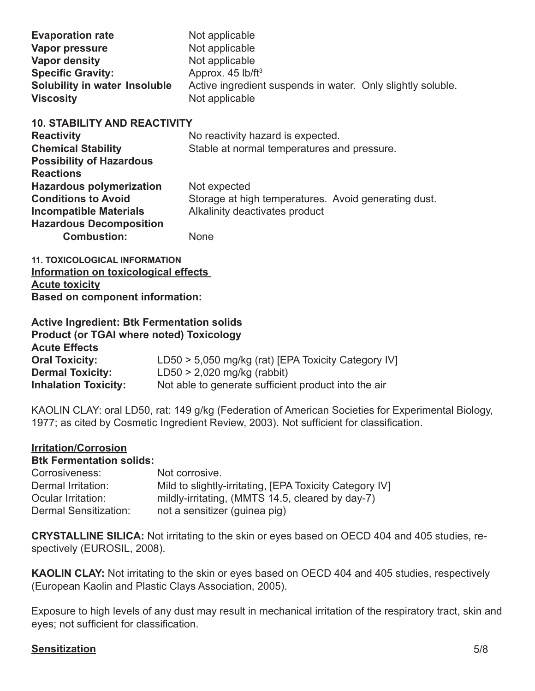| <b>Evaporation rate</b><br>Vapor pressure<br><b>Vapor density</b><br><b>Specific Gravity:</b><br>Solubility in water Insoluble<br><b>Viscosity</b>     | Not applicable<br>Not applicable<br>Not applicable<br>Approx. 45 lb/ft <sup>3</sup><br>Active ingredient suspends in water. Only slightly soluble.<br>Not applicable |
|--------------------------------------------------------------------------------------------------------------------------------------------------------|----------------------------------------------------------------------------------------------------------------------------------------------------------------------|
| <b>10. STABILITY AND REACTIVITY</b><br><b>Reactivity</b><br><b>Chemical Stability</b><br><b>Possibility of Hazardous</b><br><b>Reactions</b>           | No reactivity hazard is expected.<br>Stable at normal temperatures and pressure.                                                                                     |
| <b>Hazardous polymerization</b><br><b>Conditions to Avoid</b><br><b>Incompatible Materials</b><br><b>Hazardous Decomposition</b><br><b>Combustion:</b> | Not expected<br>Storage at high temperatures. Avoid generating dust.<br>Alkalinity deactivates product<br>None                                                       |

**11. TOXICOLOGICAL INFORMATION Information on toxicological effects Acute toxicity Based on component information:**

| <b>Active Ingredient: Btk Fermentation solids</b> |                                                      |
|---------------------------------------------------|------------------------------------------------------|
| <b>Product (or TGAI where noted) Toxicology</b>   |                                                      |
| <b>Acute Effects</b>                              |                                                      |
| <b>Oral Toxicity:</b>                             | LD50 > 5,050 mg/kg (rat) [EPA Toxicity Category IV]  |
| <b>Dermal Toxicity:</b>                           | $LD50 > 2,020$ mg/kg (rabbit)                        |
| <b>Inhalation Toxicity:</b>                       | Not able to generate sufficient product into the air |

KAOLIN CLAY: oral LD50, rat: 149 g/kg (Federation of American Societies for Experimental Biology, 1977; as cited by Cosmetic Ingredient Review, 2003). Not sufficient for classification.

#### **Irritation/Corrosion**

| <b>Btk Fermentation solids:</b> |                                                         |
|---------------------------------|---------------------------------------------------------|
| Corrosiveness:                  | Not corrosive.                                          |
| Dermal Irritation:              | Mild to slightly-irritating, [EPA Toxicity Category IV] |
| Ocular Irritation:              | mildly-irritating, (MMTS 14.5, cleared by day-7)        |
| Dermal Sensitization:           | not a sensitizer (guinea pig)                           |

**CRYSTALLINE SILICA:** Not irritating to the skin or eyes based on OECD 404 and 405 studies, respectively (EUROSIL, 2008).

**KAOLIN CLAY:** Not irritating to the skin or eyes based on OECD 404 and 405 studies, respectively (European Kaolin and Plastic Clays Association, 2005).

Exposure to high levels of any dust may result in mechanical irritation of the respiratory tract, skin and eyes; not sufficient for classification.

#### **Sensitization** 5/8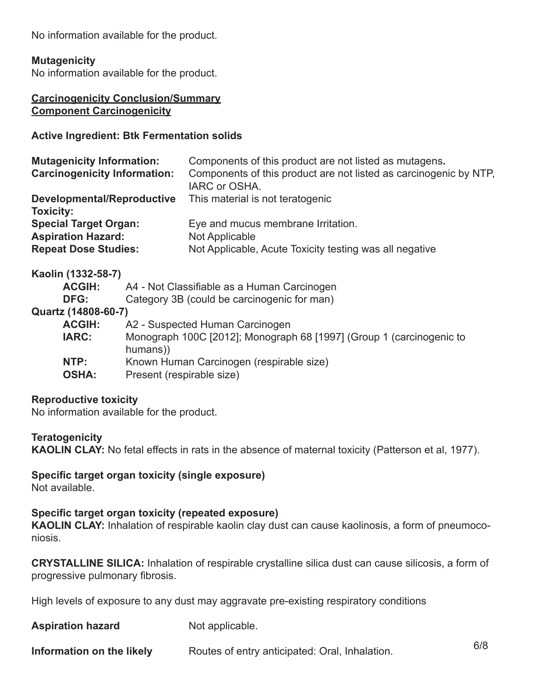No information available for the product.

#### **Mutagenicity**

No information available for the product.

#### **Carcinogenicity Conclusion/Summary Component Carcinogenicity**

#### **Active Ingredient: Btk Fermentation solids**

| Components of this product are not listed as mutagens.            |
|-------------------------------------------------------------------|
| Components of this product are not listed as carcinogenic by NTP, |
| IARC or OSHA.                                                     |
| This material is not teratogenic                                  |
|                                                                   |
| Eye and mucus membrane Irritation.                                |
| Not Applicable                                                    |
| Not Applicable, Acute Toxicity testing was all negative           |
|                                                                   |

#### **Kaolin (1332-58-7)**

| <b>ACGIH:</b>       | A4 - Not Classifiable as a Human Carcinogen                                      |
|---------------------|----------------------------------------------------------------------------------|
| DFG:                | Category 3B (could be carcinogenic for man)                                      |
| Quartz (14808-60-7) |                                                                                  |
| <b>ACGIH:</b>       | A2 - Suspected Human Carcinogen                                                  |
| <b>IARC:</b>        | Monograph 100C [2012]; Monograph 68 [1997] (Group 1 (carcinogenic to<br>humans)) |
| NTP:                | Known Human Carcinogen (respirable size)                                         |
| <b>OSHA:</b>        | Present (respirable size)                                                        |

#### **Reproductive toxicity**

No information available for the product.

#### **Teratogenicity**

**KAOLIN CLAY:** No fetal effects in rats in the absence of maternal toxicity (Patterson et al, 1977).

# **Specific target organ toxicity (single exposure)**

Not available.

#### **Specific target organ toxicity (repeated exposure)**

**KAOLIN CLAY:** Inhalation of respirable kaolin clay dust can cause kaolinosis, a form of pneumoconiosis.

**CRYSTALLINE SILICA:** Inhalation of respirable crystalline silica dust can cause silicosis, a form of progressive pulmonary fibrosis.

High levels of exposure to any dust may aggravate pre-existing respiratory conditions

**Aspiration hazard** Not applicable.

**Information on the likely** Routes of entry anticipated: Oral, Inhalation. 6/8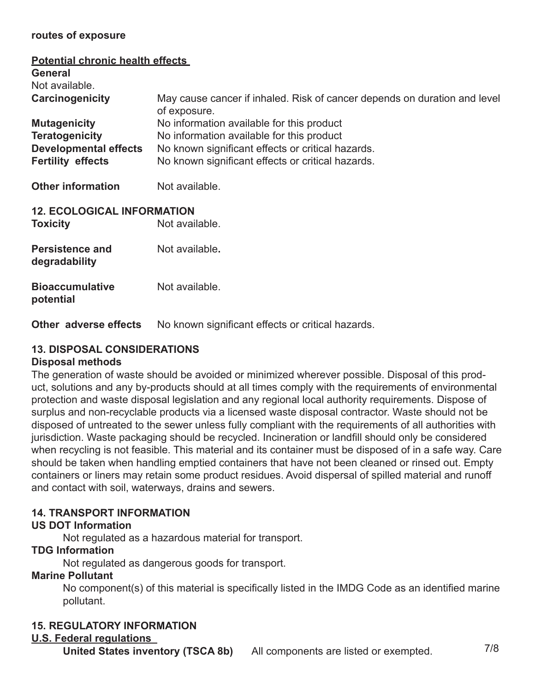#### **routes of exposure**

| <b>Potential chronic health effects</b><br>General |                                                                                           |  |  |
|----------------------------------------------------|-------------------------------------------------------------------------------------------|--|--|
| Not available.                                     |                                                                                           |  |  |
| Carcinogenicity                                    | May cause cancer if inhaled. Risk of cancer depends on duration and level<br>of exposure. |  |  |
| <b>Mutagenicity</b>                                | No information available for this product                                                 |  |  |
| <b>Teratogenicity</b>                              | No information available for this product                                                 |  |  |
| <b>Developmental effects</b>                       | No known significant effects or critical hazards.                                         |  |  |
| <b>Fertility effects</b>                           | No known significant effects or critical hazards.                                         |  |  |
| <b>Other information</b>                           | Not available.                                                                            |  |  |
| <b>12. ECOLOGICAL INFORMATION</b>                  |                                                                                           |  |  |
| <b>Toxicity</b>                                    | Not available.                                                                            |  |  |
| <b>Persistence and</b><br>degradability            | Not available.                                                                            |  |  |
| <b>Bioaccumulative</b><br>potential                | Not available.                                                                            |  |  |

**Other adverse effects** No known significant effects or critical hazards.

# **13. DISPOSAL CONSIDERATIONS**

# **Disposal methods**

The generation of waste should be avoided or minimized wherever possible. Disposal of this product, solutions and any by-products should at all times comply with the requirements of environmental protection and waste disposal legislation and any regional local authority requirements. Dispose of surplus and non-recyclable products via a licensed waste disposal contractor. Waste should not be disposed of untreated to the sewer unless fully compliant with the requirements of all authorities with jurisdiction. Waste packaging should be recycled. Incineration or landfill should only be considered when recycling is not feasible. This material and its container must be disposed of in a safe way. Care should be taken when handling emptied containers that have not been cleaned or rinsed out. Empty containers or liners may retain some product residues. Avoid dispersal of spilled material and runoff and contact with soil, waterways, drains and sewers.

# **14. TRANSPORT INFORMATION**

# **US DOT Information**

Not regulated as a hazardous material for transport.

# **TDG Information**

Not regulated as dangerous goods for transport.

# **Marine Pollutant**

No component(s) of this material is specifically listed in the IMDG Code as an identified marine pollutant.

# **15. REGULATORY INFORMATION**

# **U.S. Federal regulations**

**United States inventory (TSCA 8b)** All components are listed or exempted.  $7/8$